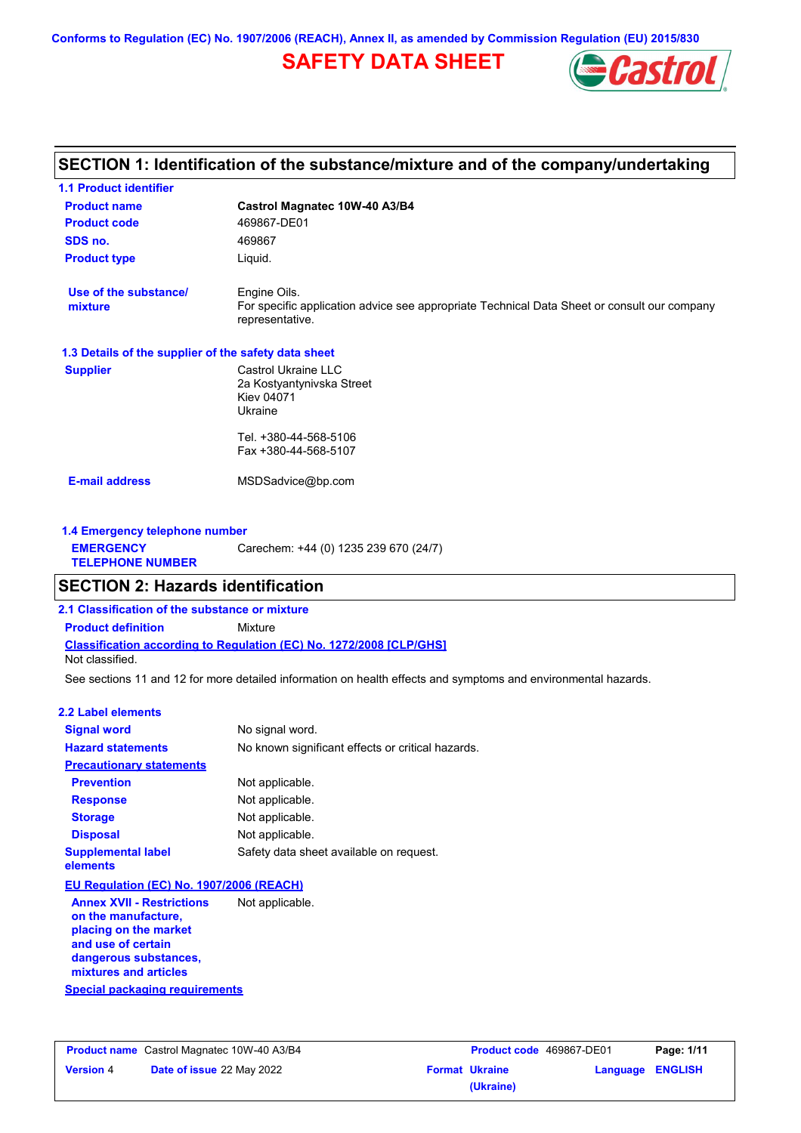# **SAFETY DATA SHEET**



# **Castrol Magnatec 10W-40 A3/B4 Product name 1.1 Product identifier 1.3 Details of the supplier of the safety data sheet Product type Liquid. E-mail address** MSDSadvice@bp.com **SECTION 1: Identification of the substance/mixture and of the company/undertaking Product code 469867-DE01 1.4 Emergency telephone number EMERGENCY TELEPHONE NUMBER** Carechem: +44 (0) 1235 239 670 (24/7) **Supplier** Castrol Ukraine LLC 2a Kostyantynivska Street Kiev 04071 Ukraine Tel. +380-44-568-5106 Fax +380-44-568-5107 **SDS no.** 469867 **Use of the substance/ mixture** Engine Oils. For specific application advice see appropriate Technical Data Sheet or consult our company representative. **SECTION 2: Hazards identification**

**Classification according to Regulation (EC) No. 1272/2008 [CLP/GHS] 2.1 Classification of the substance or mixture Product definition** Mixture

Not classified.

See sections 11 and 12 for more detailed information on health effects and symptoms and environmental hazards.

#### **2.2 Label elements**

| <b>Signal word</b>                                                                                     | No signal word.                                   |
|--------------------------------------------------------------------------------------------------------|---------------------------------------------------|
| <b>Hazard statements</b>                                                                               | No known significant effects or critical hazards. |
| <b>Precautionary statements</b>                                                                        |                                                   |
| <b>Prevention</b>                                                                                      | Not applicable.                                   |
| <b>Response</b>                                                                                        | Not applicable.                                   |
| <b>Storage</b>                                                                                         | Not applicable.                                   |
| <b>Disposal</b>                                                                                        | Not applicable.                                   |
| <b>Supplemental label</b><br>elements                                                                  | Safety data sheet available on request.           |
| EU Regulation (EC) No. 1907/2006 (REACH)                                                               |                                                   |
| <b>Annex XVII - Restrictions</b><br>on the manufacture,<br>placing on the market<br>and use of certain | Not applicable.                                   |

**dangerous substances, mixtures and articles**

#### **Special packaging requirements**

|                  | <b>Product name</b> Castrol Magnatec 10W-40 A3/B4 |
|------------------|---------------------------------------------------|
| <b>Version 4</b> | Date of issue 22 May 2022                         |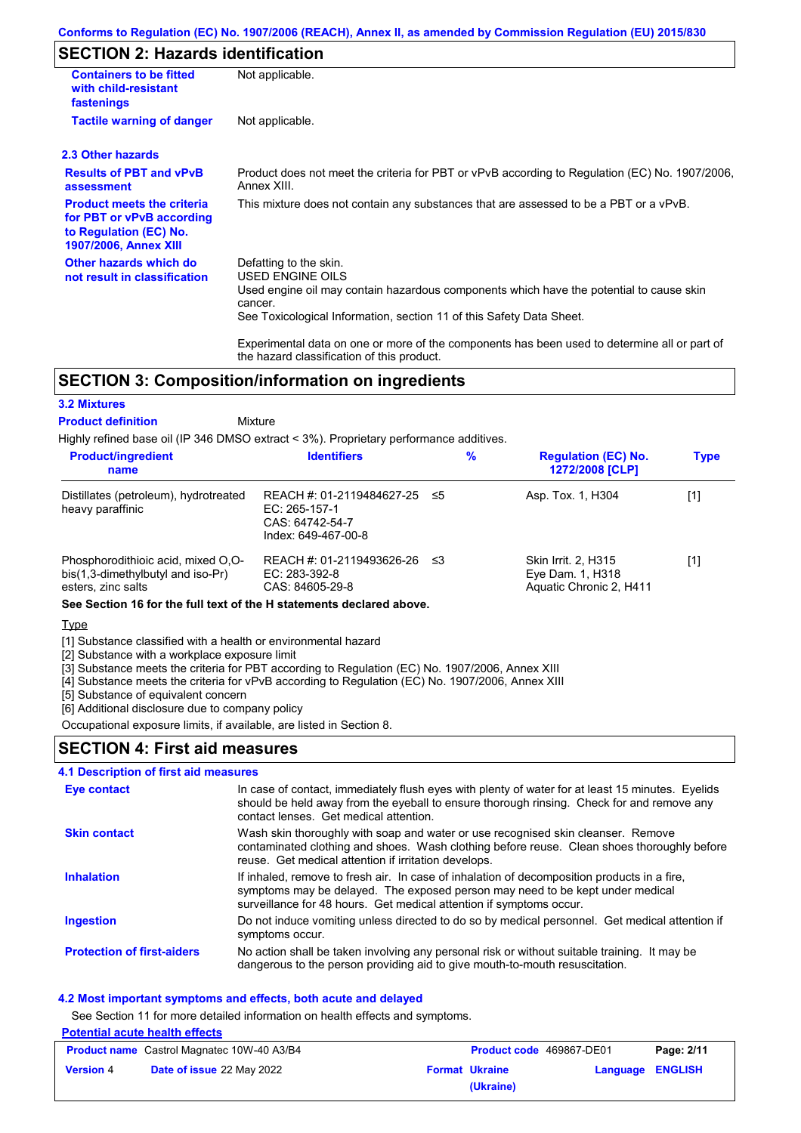# **SECTION 2: Hazards identification**

| <b>Containers to be fitted</b><br>with child-resistant<br>fastenings                                                     | Not applicable.                                                                                                                                                                                                                 |
|--------------------------------------------------------------------------------------------------------------------------|---------------------------------------------------------------------------------------------------------------------------------------------------------------------------------------------------------------------------------|
| <b>Tactile warning of danger</b>                                                                                         | Not applicable.                                                                                                                                                                                                                 |
| 2.3 Other hazards                                                                                                        |                                                                                                                                                                                                                                 |
| <b>Results of PBT and vPvB</b><br>assessment                                                                             | Product does not meet the criteria for PBT or vPvB according to Regulation (EC) No. 1907/2006,<br>Annex XIII.                                                                                                                   |
| <b>Product meets the criteria</b><br>for PBT or vPvB according<br>to Regulation (EC) No.<br><b>1907/2006, Annex XIII</b> | This mixture does not contain any substances that are assessed to be a PBT or a vPvB.                                                                                                                                           |
| Other hazards which do<br>not result in classification                                                                   | Defatting to the skin.<br><b>USED ENGINE OILS</b><br>Used engine oil may contain hazardous components which have the potential to cause skin<br>cancer.<br>See Toxicological Information, section 11 of this Safety Data Sheet. |
|                                                                                                                          | Experimental data on one or more of the components has been used to determine all or part of                                                                                                                                    |

# **SECTION 3: Composition/information on ingredients**

#### **3.2 Mixtures**

Mixture **Product definition**

Highly refined base oil (IP 346 DMSO extract < 3%). Proprietary performance additives.

the hazard classification of this product.

| name                                                                                          |                                                                                         | $\%$ | <b>Regulation (EC) No.</b><br>1272/2008 [CLP]                      | <b>Type</b> |
|-----------------------------------------------------------------------------------------------|-----------------------------------------------------------------------------------------|------|--------------------------------------------------------------------|-------------|
| Distillates (petroleum), hydrotreated<br>heavy paraffinic                                     | REACH #: 01-2119484627-25 ≤5<br>EC: 265-157-1<br>CAS: 64742-54-7<br>Index: 649-467-00-8 |      | Asp. Tox. 1, H304                                                  | [1]         |
| Phosphorodithioic acid, mixed O.O-<br>bis(1,3-dimethylbutyl and iso-Pr)<br>esters, zinc salts | REACH #: 01-2119493626-26 ≤3<br>EC: 283-392-8<br>CAS: 84605-29-8                        |      | Skin Irrit. 2, H315<br>Eye Dam. 1, H318<br>Aquatic Chronic 2, H411 | [1]         |

**See Section 16 for the full text of the H statements declared above.**

**Type** 

[1] Substance classified with a health or environmental hazard

[2] Substance with a workplace exposure limit

[3] Substance meets the criteria for PBT according to Regulation (EC) No. 1907/2006, Annex XIII

[4] Substance meets the criteria for vPvB according to Regulation (EC) No. 1907/2006, Annex XIII

[5] Substance of equivalent concern

#### [6] Additional disclosure due to company policy Occupational exposure limits, if available, are listed in Section 8.

### **SECTION 4: First aid measures**

#### **4.1 Description of first aid measures**

| Eye contact                       | In case of contact, immediately flush eyes with plenty of water for at least 15 minutes. Eyelids<br>should be held away from the eyeball to ensure thorough rinsing. Check for and remove any<br>contact lenses. Get medical attention.             |
|-----------------------------------|-----------------------------------------------------------------------------------------------------------------------------------------------------------------------------------------------------------------------------------------------------|
| <b>Skin contact</b>               | Wash skin thoroughly with soap and water or use recognised skin cleanser. Remove<br>contaminated clothing and shoes. Wash clothing before reuse. Clean shoes thoroughly before<br>reuse. Get medical attention if irritation develops.              |
| <b>Inhalation</b>                 | If inhaled, remove to fresh air. In case of inhalation of decomposition products in a fire,<br>symptoms may be delayed. The exposed person may need to be kept under medical<br>surveillance for 48 hours. Get medical attention if symptoms occur. |
| <b>Ingestion</b>                  | Do not induce vomiting unless directed to do so by medical personnel. Get medical attention if<br>symptoms occur.                                                                                                                                   |
| <b>Protection of first-aiders</b> | No action shall be taken involving any personal risk or without suitable training. It may be<br>dangerous to the person providing aid to give mouth-to-mouth resuscitation.                                                                         |

#### **4.2 Most important symptoms and effects, both acute and delayed**

See Section 11 for more detailed information on health effects and symptoms.

#### **Potential acute health effects**

| <b>Product name</b> Castrol Magnatec 10W-40 A3/B4 |                           | <b>Product code</b> 469867-DE01 |                       | Page: 2/11              |  |
|---------------------------------------------------|---------------------------|---------------------------------|-----------------------|-------------------------|--|
| <b>Version 4</b>                                  | Date of issue 22 May 2022 |                                 | <b>Format Ukraine</b> | <b>Language ENGLISH</b> |  |
|                                                   |                           |                                 | (Ukraine)             |                         |  |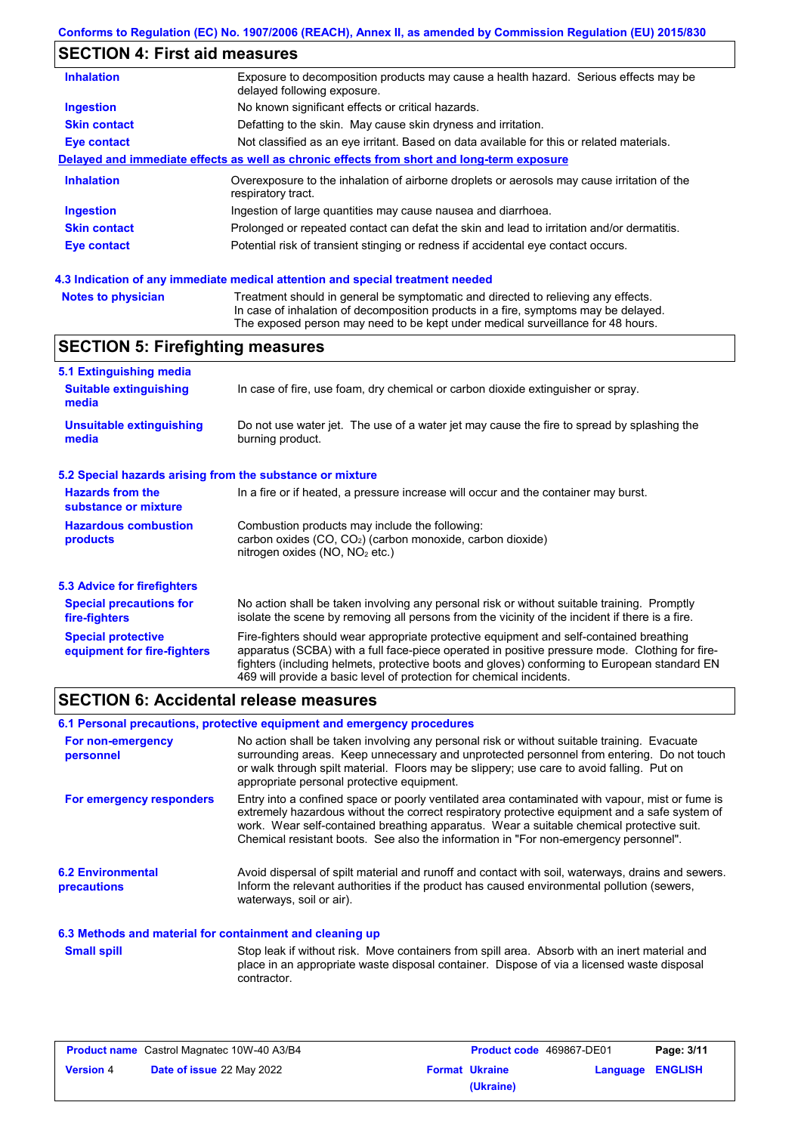# **SECTION 4: First aid measures**

| <b>Inhalation</b>   | Exposure to decomposition products may cause a health hazard. Serious effects may be<br>delayed following exposure. |
|---------------------|---------------------------------------------------------------------------------------------------------------------|
| <b>Ingestion</b>    | No known significant effects or critical hazards.                                                                   |
| <b>Skin contact</b> | Defatting to the skin. May cause skin dryness and irritation.                                                       |
| <b>Eye contact</b>  | Not classified as an eye irritant. Based on data available for this or related materials.                           |
|                     | Delayed and immediate effects as well as chronic effects from short and long-term exposure                          |
| <b>Inhalation</b>   | Overexposure to the inhalation of airborne droplets or aerosols may cause irritation of the<br>respiratory tract.   |
| <b>Ingestion</b>    | Ingestion of large quantities may cause nausea and diarrhoea.                                                       |
| <b>Skin contact</b> | Prolonged or repeated contact can defat the skin and lead to irritation and/or dermatitis.                          |
| <b>Eye contact</b>  | Potential risk of transient stinging or redness if accidental eye contact occurs.                                   |
|                     |                                                                                                                     |

# **4.3 Indication of any immediate medical attention and special treatment needed**

| <b>Notes to physician</b> | Treatment should in general be symptomatic and directed to relieving any effects.   |
|---------------------------|-------------------------------------------------------------------------------------|
|                           | In case of inhalation of decomposition products in a fire, symptoms may be delayed. |
|                           | The exposed person may need to be kept under medical surveillance for 48 hours.     |

# **SECTION 5: Firefighting measures**

| 5.1 Extinguishing media                                                                                                                                                                                                                                                                                                                                                                                                       |                                                                                                                                                                                                |  |  |
|-------------------------------------------------------------------------------------------------------------------------------------------------------------------------------------------------------------------------------------------------------------------------------------------------------------------------------------------------------------------------------------------------------------------------------|------------------------------------------------------------------------------------------------------------------------------------------------------------------------------------------------|--|--|
| <b>Suitable extinguishing</b><br>media                                                                                                                                                                                                                                                                                                                                                                                        | In case of fire, use foam, dry chemical or carbon dioxide extinguisher or spray.                                                                                                               |  |  |
| <b>Unsuitable extinguishing</b><br>media                                                                                                                                                                                                                                                                                                                                                                                      | Do not use water jet. The use of a water jet may cause the fire to spread by splashing the<br>burning product.                                                                                 |  |  |
| 5.2 Special hazards arising from the substance or mixture                                                                                                                                                                                                                                                                                                                                                                     |                                                                                                                                                                                                |  |  |
| <b>Hazards from the</b><br>substance or mixture                                                                                                                                                                                                                                                                                                                                                                               | In a fire or if heated, a pressure increase will occur and the container may burst.                                                                                                            |  |  |
| Combustion products may include the following:<br><b>Hazardous combustion</b><br>carbon oxides $(CO, CO2)$ (carbon monoxide, carbon dioxide)<br>products<br>nitrogen oxides (NO, NO <sub>2</sub> etc.)                                                                                                                                                                                                                        |                                                                                                                                                                                                |  |  |
| 5.3 Advice for firefighters                                                                                                                                                                                                                                                                                                                                                                                                   |                                                                                                                                                                                                |  |  |
| <b>Special precautions for</b><br>fire-fighters                                                                                                                                                                                                                                                                                                                                                                               | No action shall be taken involving any personal risk or without suitable training. Promptly<br>isolate the scene by removing all persons from the vicinity of the incident if there is a fire. |  |  |
| Fire-fighters should wear appropriate protective equipment and self-contained breathing<br><b>Special protective</b><br>apparatus (SCBA) with a full face-piece operated in positive pressure mode. Clothing for fire-<br>equipment for fire-fighters<br>fighters (including helmets, protective boots and gloves) conforming to European standard EN<br>469 will provide a basic level of protection for chemical incidents. |                                                                                                                                                                                                |  |  |

# **SECTION 6: Accidental release measures**

|                                                          | 6.1 Personal precautions, protective equipment and emergency procedures                                                                                                                                                                                                                                                                                                              |
|----------------------------------------------------------|--------------------------------------------------------------------------------------------------------------------------------------------------------------------------------------------------------------------------------------------------------------------------------------------------------------------------------------------------------------------------------------|
| For non-emergency<br>personnel                           | No action shall be taken involving any personal risk or without suitable training. Evacuate<br>surrounding areas. Keep unnecessary and unprotected personnel from entering. Do not touch<br>or walk through spilt material. Floors may be slippery; use care to avoid falling. Put on<br>appropriate personal protective equipment.                                                  |
| For emergency responders                                 | Entry into a confined space or poorly ventilated area contaminated with vapour, mist or fume is<br>extremely hazardous without the correct respiratory protective equipment and a safe system of<br>work. Wear self-contained breathing apparatus. Wear a suitable chemical protective suit.<br>Chemical resistant boots. See also the information in "For non-emergency personnel". |
| <b>6.2 Environmental</b><br><b>precautions</b>           | Avoid dispersal of spilt material and runoff and contact with soil, waterways, drains and sewers.<br>Inform the relevant authorities if the product has caused environmental pollution (sewers,<br>waterways, soil or air).                                                                                                                                                          |
| 6.3 Methods and material for containment and cleaning up |                                                                                                                                                                                                                                                                                                                                                                                      |
| <b>Small spill</b>                                       | Stop leak if without risk. Move containers from spill area. Absorb with an inert material and<br>place in an appropriate waste disposal container. Dispose of via a licensed waste disposal<br>contractor.                                                                                                                                                                           |

| <b>Product name</b> Castrol Magnatec 10W-40 A3/B4 |                                  | <b>Product code</b> 469867-DE01 |                       | Page: 3/11              |  |
|---------------------------------------------------|----------------------------------|---------------------------------|-----------------------|-------------------------|--|
| <b>Version 4</b>                                  | <b>Date of issue 22 May 2022</b> |                                 | <b>Format Ukraine</b> | <b>Language ENGLISH</b> |  |
|                                                   |                                  |                                 | (Ukraine)             |                         |  |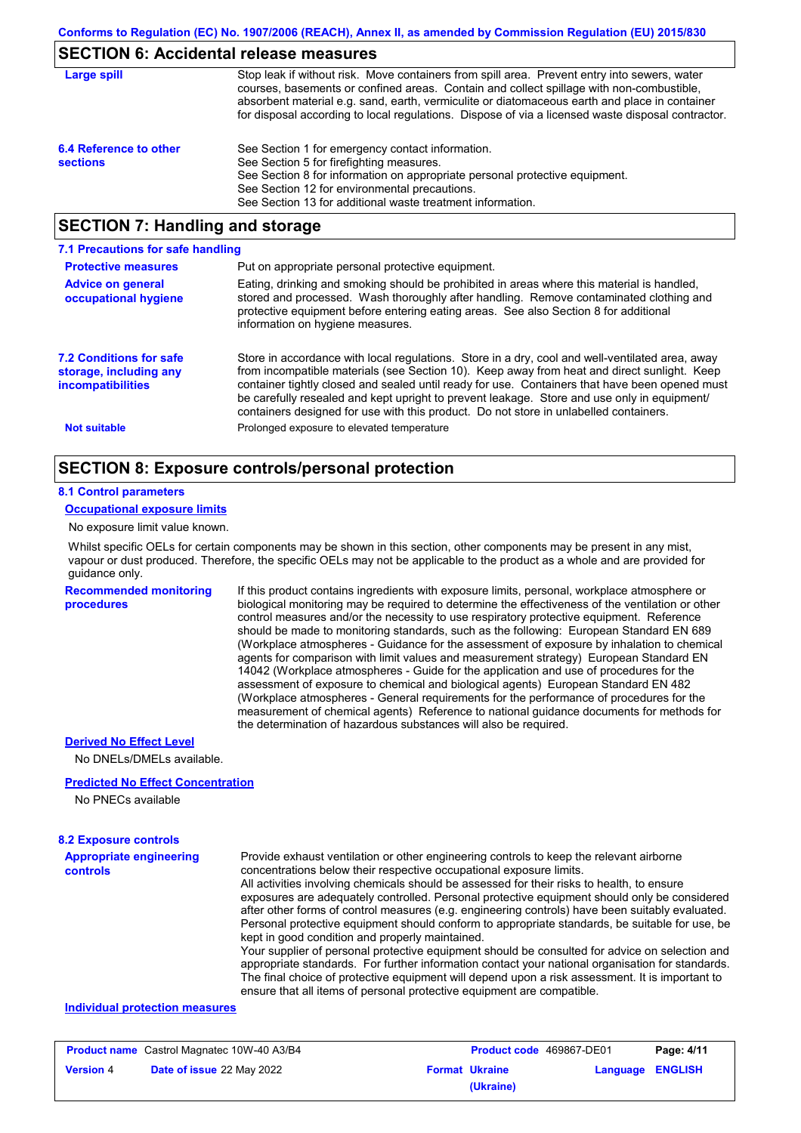# **SECTION 6: Accidental release measures**

| Large spill                               | Stop leak if without risk. Move containers from spill area. Prevent entry into sewers, water<br>courses, basements or confined areas. Contain and collect spillage with non-combustible,<br>absorbent material e.g. sand, earth, vermiculite or diatomaceous earth and place in container<br>for disposal according to local regulations. Dispose of via a licensed waste disposal contractor. |
|-------------------------------------------|------------------------------------------------------------------------------------------------------------------------------------------------------------------------------------------------------------------------------------------------------------------------------------------------------------------------------------------------------------------------------------------------|
| 6.4 Reference to other<br><b>sections</b> | See Section 1 for emergency contact information.<br>See Section 5 for firefighting measures.<br>See Section 8 for information on appropriate personal protective equipment.<br>See Section 12 for environmental precautions.<br>See Section 13 for additional waste treatment information.                                                                                                     |

# **SECTION 7: Handling and storage**

| 7.1 Precautions for safe handling                                                    |                                                                                                                                                                                                                                                                                                                                                                                                                                                                                          |
|--------------------------------------------------------------------------------------|------------------------------------------------------------------------------------------------------------------------------------------------------------------------------------------------------------------------------------------------------------------------------------------------------------------------------------------------------------------------------------------------------------------------------------------------------------------------------------------|
| <b>Protective measures</b>                                                           | Put on appropriate personal protective equipment.                                                                                                                                                                                                                                                                                                                                                                                                                                        |
| <b>Advice on general</b><br>occupational hygiene                                     | Eating, drinking and smoking should be prohibited in areas where this material is handled,<br>stored and processed. Wash thoroughly after handling. Remove contaminated clothing and<br>protective equipment before entering eating areas. See also Section 8 for additional<br>information on hygiene measures.                                                                                                                                                                         |
| <b>7.2 Conditions for safe</b><br>storage, including any<br><i>incompatibilities</i> | Store in accordance with local regulations. Store in a dry, cool and well-ventilated area, away<br>from incompatible materials (see Section 10). Keep away from heat and direct sunlight. Keep<br>container tightly closed and sealed until ready for use. Containers that have been opened must<br>be carefully resealed and kept upright to prevent leakage. Store and use only in equipment/<br>containers designed for use with this product. Do not store in unlabelled containers. |
| <b>Not suitable</b>                                                                  | Prolonged exposure to elevated temperature                                                                                                                                                                                                                                                                                                                                                                                                                                               |

# **SECTION 8: Exposure controls/personal protection**

#### **8.1 Control parameters**

#### **Occupational exposure limits**

No exposure limit value known.

Whilst specific OELs for certain components may be shown in this section, other components may be present in any mist, vapour or dust produced. Therefore, the specific OELs may not be applicable to the product as a whole and are provided for guidance only.

#### **Recommended monitoring procedures**

If this product contains ingredients with exposure limits, personal, workplace atmosphere or biological monitoring may be required to determine the effectiveness of the ventilation or other control measures and/or the necessity to use respiratory protective equipment. Reference should be made to monitoring standards, such as the following: European Standard EN 689 (Workplace atmospheres - Guidance for the assessment of exposure by inhalation to chemical agents for comparison with limit values and measurement strategy) European Standard EN 14042 (Workplace atmospheres - Guide for the application and use of procedures for the assessment of exposure to chemical and biological agents) European Standard EN 482 (Workplace atmospheres - General requirements for the performance of procedures for the measurement of chemical agents) Reference to national guidance documents for methods for the determination of hazardous substances will also be required.

#### **Derived No Effect Level**

No DNELs/DMELs available.

#### **Predicted No Effect Concentration**

No PNECs available

#### **8.2 Exposure controls**

| <b>Appropriate engineering</b> | Provide exhaust ventilation or other engineering controls to keep the relevant airborne                                                                                                            |
|--------------------------------|----------------------------------------------------------------------------------------------------------------------------------------------------------------------------------------------------|
| <b>controls</b>                | concentrations below their respective occupational exposure limits.                                                                                                                                |
|                                | All activities involving chemicals should be assessed for their risks to health, to ensure                                                                                                         |
|                                | exposures are adequately controlled. Personal protective equipment should only be considered                                                                                                       |
|                                | after other forms of control measures (e.g. engineering controls) have been suitably evaluated.                                                                                                    |
|                                | Personal protective equipment should conform to appropriate standards, be suitable for use, be                                                                                                     |
|                                | kept in good condition and properly maintained.                                                                                                                                                    |
|                                | Your supplier of personal protective equipment should be consulted for advice on selection and<br>appropriate standards. For further information contact your national organisation for standards. |
|                                |                                                                                                                                                                                                    |
|                                | The final choice of protective equipment will depend upon a risk assessment. It is important to                                                                                                    |

#### ensure that all items of personal protective equipment are compatible.

#### **Individual protection measures**

| <b>Product name</b> Castrol Magnatec 10W-40 A3/B4 |                                  | <b>Product code</b> 469867-DE01 |                       | Page: 4/11       |  |
|---------------------------------------------------|----------------------------------|---------------------------------|-----------------------|------------------|--|
| <b>Version 4</b>                                  | <b>Date of issue 22 May 2022</b> |                                 | <b>Format Ukraine</b> | Language ENGLISH |  |
|                                                   |                                  |                                 | (Ukraine)             |                  |  |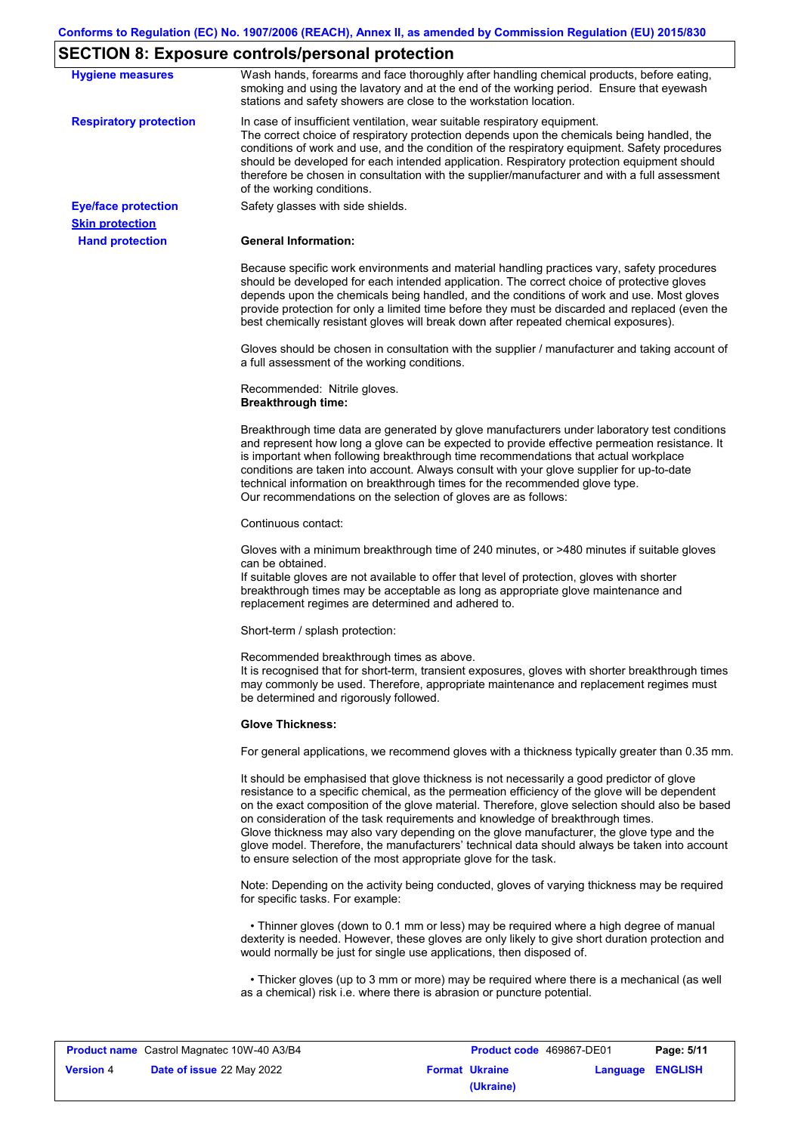# **SECTION 8: Exposure controls/personal protection**

|                               | <b></b>                                                                                                                                                                                                                                                                                                                                                                                                                                                                                                                                                                                                                                           |
|-------------------------------|---------------------------------------------------------------------------------------------------------------------------------------------------------------------------------------------------------------------------------------------------------------------------------------------------------------------------------------------------------------------------------------------------------------------------------------------------------------------------------------------------------------------------------------------------------------------------------------------------------------------------------------------------|
| <b>Hygiene measures</b>       | Wash hands, forearms and face thoroughly after handling chemical products, before eating,<br>smoking and using the lavatory and at the end of the working period. Ensure that eyewash<br>stations and safety showers are close to the workstation location.                                                                                                                                                                                                                                                                                                                                                                                       |
| <b>Respiratory protection</b> | In case of insufficient ventilation, wear suitable respiratory equipment.<br>The correct choice of respiratory protection depends upon the chemicals being handled, the<br>conditions of work and use, and the condition of the respiratory equipment. Safety procedures<br>should be developed for each intended application. Respiratory protection equipment should<br>therefore be chosen in consultation with the supplier/manufacturer and with a full assessment<br>of the working conditions.                                                                                                                                             |
| <b>Eye/face protection</b>    | Safety glasses with side shields.                                                                                                                                                                                                                                                                                                                                                                                                                                                                                                                                                                                                                 |
| <b>Skin protection</b>        |                                                                                                                                                                                                                                                                                                                                                                                                                                                                                                                                                                                                                                                   |
| <b>Hand protection</b>        | <b>General Information:</b>                                                                                                                                                                                                                                                                                                                                                                                                                                                                                                                                                                                                                       |
|                               | Because specific work environments and material handling practices vary, safety procedures<br>should be developed for each intended application. The correct choice of protective gloves<br>depends upon the chemicals being handled, and the conditions of work and use. Most gloves<br>provide protection for only a limited time before they must be discarded and replaced (even the<br>best chemically resistant gloves will break down after repeated chemical exposures).                                                                                                                                                                  |
|                               | Gloves should be chosen in consultation with the supplier / manufacturer and taking account of<br>a full assessment of the working conditions.                                                                                                                                                                                                                                                                                                                                                                                                                                                                                                    |
|                               | Recommended: Nitrile gloves.<br><b>Breakthrough time:</b>                                                                                                                                                                                                                                                                                                                                                                                                                                                                                                                                                                                         |
|                               | Breakthrough time data are generated by glove manufacturers under laboratory test conditions<br>and represent how long a glove can be expected to provide effective permeation resistance. It<br>is important when following breakthrough time recommendations that actual workplace<br>conditions are taken into account. Always consult with your glove supplier for up-to-date<br>technical information on breakthrough times for the recommended glove type.<br>Our recommendations on the selection of gloves are as follows:                                                                                                                |
|                               | Continuous contact:                                                                                                                                                                                                                                                                                                                                                                                                                                                                                                                                                                                                                               |
|                               | Gloves with a minimum breakthrough time of 240 minutes, or >480 minutes if suitable gloves<br>can be obtained.<br>If suitable gloves are not available to offer that level of protection, gloves with shorter<br>breakthrough times may be acceptable as long as appropriate glove maintenance and<br>replacement regimes are determined and adhered to.                                                                                                                                                                                                                                                                                          |
|                               | Short-term / splash protection:                                                                                                                                                                                                                                                                                                                                                                                                                                                                                                                                                                                                                   |
|                               | Recommended breakthrough times as above.<br>It is recognised that for short-term, transient exposures, gloves with shorter breakthrough times<br>may commonly be used. Therefore, appropriate maintenance and replacement regimes must<br>be determined and rigorously followed.                                                                                                                                                                                                                                                                                                                                                                  |
|                               | <b>Glove Thickness:</b>                                                                                                                                                                                                                                                                                                                                                                                                                                                                                                                                                                                                                           |
|                               | For general applications, we recommend gloves with a thickness typically greater than 0.35 mm.                                                                                                                                                                                                                                                                                                                                                                                                                                                                                                                                                    |
|                               | It should be emphasised that glove thickness is not necessarily a good predictor of glove<br>resistance to a specific chemical, as the permeation efficiency of the glove will be dependent<br>on the exact composition of the glove material. Therefore, glove selection should also be based<br>on consideration of the task requirements and knowledge of breakthrough times.<br>Glove thickness may also vary depending on the glove manufacturer, the glove type and the<br>glove model. Therefore, the manufacturers' technical data should always be taken into account<br>to ensure selection of the most appropriate glove for the task. |
|                               | Note: Depending on the activity being conducted, gloves of varying thickness may be required<br>for specific tasks. For example:                                                                                                                                                                                                                                                                                                                                                                                                                                                                                                                  |
|                               | • Thinner gloves (down to 0.1 mm or less) may be required where a high degree of manual<br>dexterity is needed. However, these gloves are only likely to give short duration protection and<br>would normally be just for single use applications, then disposed of.                                                                                                                                                                                                                                                                                                                                                                              |
|                               | • Thicker gloves (up to 3 mm or more) may be required where there is a mechanical (as well<br>as a chemical) risk i.e. where there is abrasion or puncture potential.                                                                                                                                                                                                                                                                                                                                                                                                                                                                             |

| <b>Product name</b> Castrol Magnatec 10W-40 A3/B4 |                                  | <b>Product code</b> 469867-DE01 |                       | Page: 5/11       |  |
|---------------------------------------------------|----------------------------------|---------------------------------|-----------------------|------------------|--|
| <b>Version 4</b>                                  | <b>Date of issue 22 May 2022</b> |                                 | <b>Format Ukraine</b> | Language ENGLISH |  |
|                                                   |                                  |                                 | (Ukraine)             |                  |  |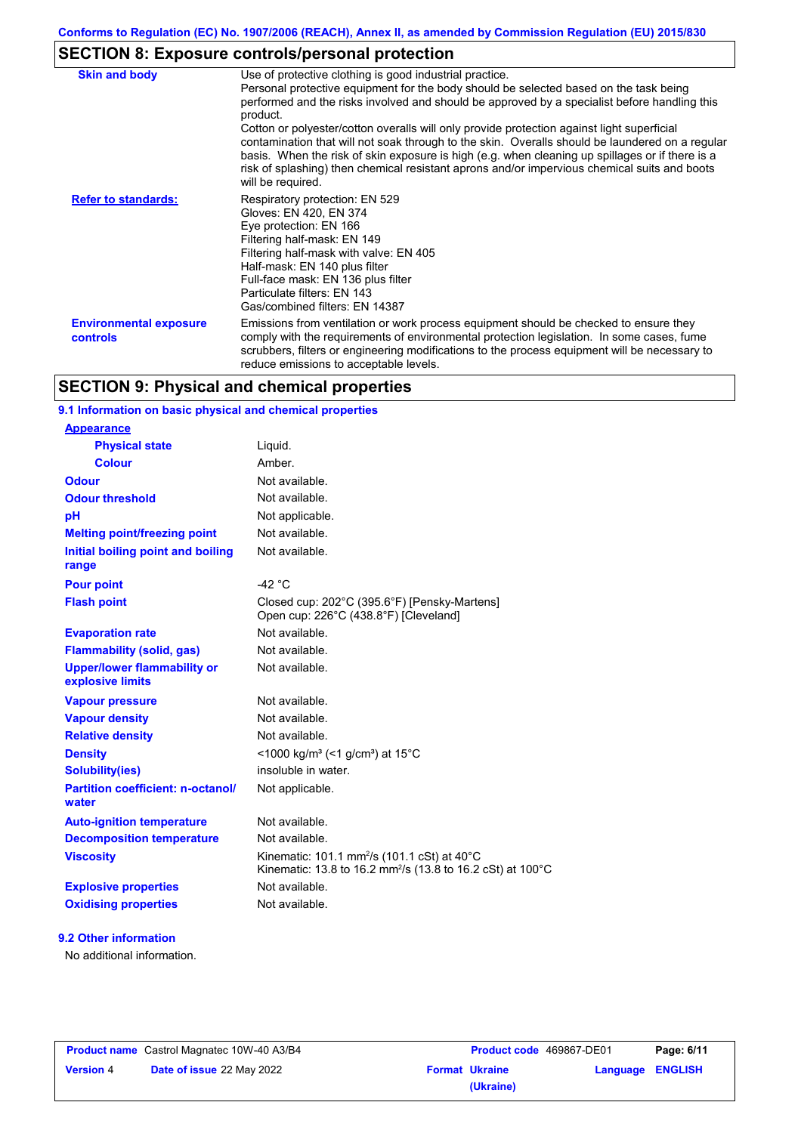# **SECTION 8: Exposure controls/personal protection**

| <b>Skin and body</b>                             | Use of protective clothing is good industrial practice.<br>Personal protective equipment for the body should be selected based on the task being<br>performed and the risks involved and should be approved by a specialist before handling this<br>product.<br>Cotton or polyester/cotton overalls will only provide protection against light superficial<br>contamination that will not soak through to the skin. Overalls should be laundered on a regular<br>basis. When the risk of skin exposure is high (e.g. when cleaning up spillages or if there is a<br>risk of splashing) then chemical resistant aprons and/or impervious chemical suits and boots<br>will be required. |
|--------------------------------------------------|---------------------------------------------------------------------------------------------------------------------------------------------------------------------------------------------------------------------------------------------------------------------------------------------------------------------------------------------------------------------------------------------------------------------------------------------------------------------------------------------------------------------------------------------------------------------------------------------------------------------------------------------------------------------------------------|
| <b>Refer to standards:</b>                       | Respiratory protection: EN 529<br>Gloves: EN 420, EN 374<br>Eye protection: EN 166<br>Filtering half-mask: EN 149<br>Filtering half-mask with valve: EN 405<br>Half-mask: EN 140 plus filter<br>Full-face mask: EN 136 plus filter<br>Particulate filters: EN 143<br>Gas/combined filters: EN 14387                                                                                                                                                                                                                                                                                                                                                                                   |
| <b>Environmental exposure</b><br><b>controls</b> | Emissions from ventilation or work process equipment should be checked to ensure they<br>comply with the requirements of environmental protection legislation. In some cases, fume<br>scrubbers, filters or engineering modifications to the process equipment will be necessary to<br>reduce emissions to acceptable levels.                                                                                                                                                                                                                                                                                                                                                         |

# **SECTION 9: Physical and chemical properties**

#### **9.1 Information on basic physical and chemical properties**

| <u>Appearance</u>                                      |                                                                                                                                              |
|--------------------------------------------------------|----------------------------------------------------------------------------------------------------------------------------------------------|
| <b>Physical state</b>                                  | Liquid.                                                                                                                                      |
| <b>Colour</b>                                          | Amber                                                                                                                                        |
| <b>Odour</b>                                           | Not available.                                                                                                                               |
| <b>Odour threshold</b>                                 | Not available.                                                                                                                               |
| pH                                                     | Not applicable.                                                                                                                              |
| <b>Melting point/freezing point</b>                    | Not available.                                                                                                                               |
| Initial boiling point and boiling<br>range             | Not available.                                                                                                                               |
| <b>Pour point</b>                                      | -42 $^{\circ}$ C                                                                                                                             |
| <b>Flash point</b>                                     | Closed cup: 202°C (395.6°F) [Pensky-Martens]<br>Open cup: 226°C (438.8°F) [Cleveland]                                                        |
| <b>Evaporation rate</b>                                | Not available.                                                                                                                               |
| <b>Flammability (solid, gas)</b>                       | Not available.                                                                                                                               |
| <b>Upper/lower flammability or</b><br>explosive limits | Not available.                                                                                                                               |
| <b>Vapour pressure</b>                                 | Not available.                                                                                                                               |
| <b>Vapour density</b>                                  | Not available.                                                                                                                               |
| <b>Relative density</b>                                | Not available.                                                                                                                               |
| <b>Density</b>                                         | <1000 kg/m <sup>3</sup> (<1 g/cm <sup>3</sup> ) at 15 <sup>°</sup> C                                                                         |
| <b>Solubility(ies)</b>                                 | insoluble in water.                                                                                                                          |
| <b>Partition coefficient: n-octanol/</b><br>water      | Not applicable.                                                                                                                              |
| <b>Auto-ignition temperature</b>                       | Not available.                                                                                                                               |
| <b>Decomposition temperature</b>                       | Not available.                                                                                                                               |
| <b>Viscosity</b>                                       | Kinematic: 101.1 mm <sup>2</sup> /s (101.1 cSt) at 40 $^{\circ}$ C<br>Kinematic: 13.8 to 16.2 mm <sup>2</sup> /s (13.8 to 16.2 cSt) at 100°C |
| <b>Explosive properties</b>                            | Not available.                                                                                                                               |
| <b>Oxidising properties</b>                            | Not available.                                                                                                                               |
|                                                        |                                                                                                                                              |

### **9.2 Other information**

**Appearance**

No additional information.

|                  | <b>Product name</b> Castrol Magnatec 10W-40 A3/B4 |
|------------------|---------------------------------------------------|
| <b>Version 4</b> | <b>Date of issue 22 May 2022</b>                  |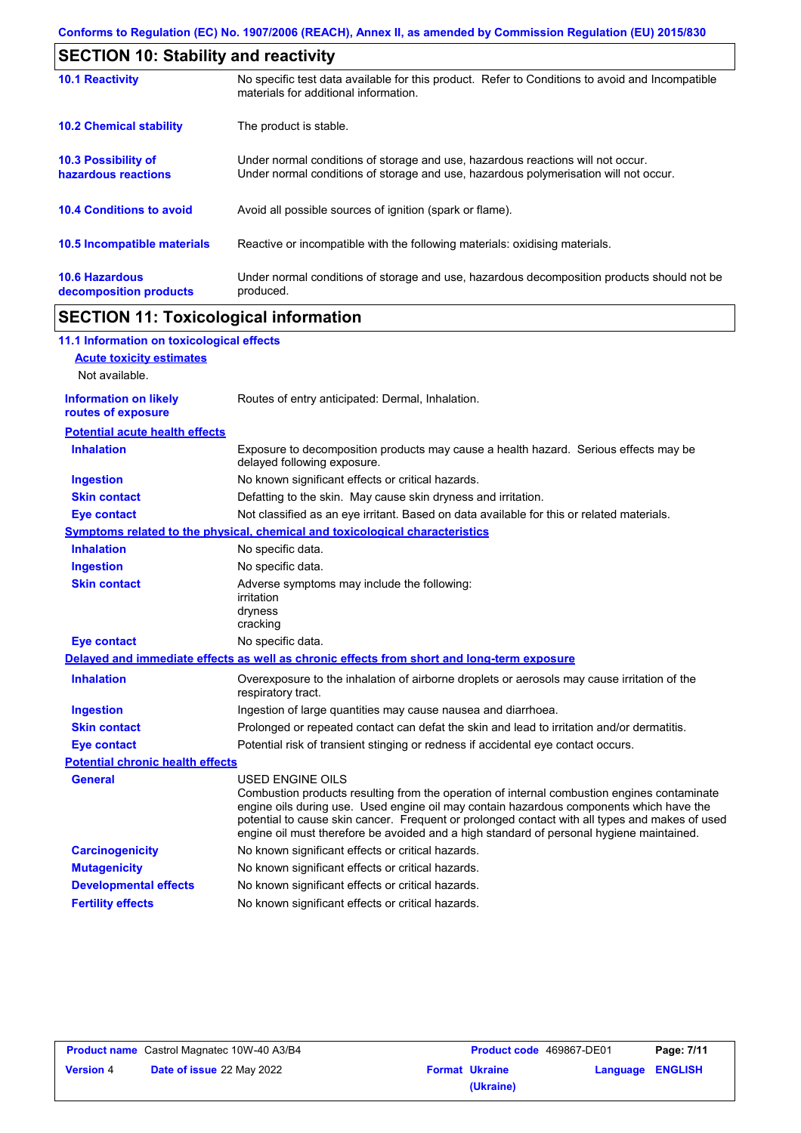| <b>SECTION 10: Stability and reactivity</b>     |                                                                                                                                                                         |  |
|-------------------------------------------------|-------------------------------------------------------------------------------------------------------------------------------------------------------------------------|--|
| <b>10.1 Reactivity</b>                          | No specific test data available for this product. Refer to Conditions to avoid and Incompatible<br>materials for additional information.                                |  |
| <b>10.2 Chemical stability</b>                  | The product is stable.                                                                                                                                                  |  |
| 10.3 Possibility of<br>hazardous reactions      | Under normal conditions of storage and use, hazardous reactions will not occur.<br>Under normal conditions of storage and use, hazardous polymerisation will not occur. |  |
| <b>10.4 Conditions to avoid</b>                 | Avoid all possible sources of ignition (spark or flame).                                                                                                                |  |
| 10.5 Incompatible materials                     | Reactive or incompatible with the following materials: oxidising materials.                                                                                             |  |
| <b>10.6 Hazardous</b><br>decomposition products | Under normal conditions of storage and use, hazardous decomposition products should not be<br>produced.                                                                 |  |

# **SECTION 11: Toxicological information**

 $\mathbf I$ 

| 11.1 Information on toxicological effects          |                                                                                                                                                                                                                                                                                                                                                                                                                 |
|----------------------------------------------------|-----------------------------------------------------------------------------------------------------------------------------------------------------------------------------------------------------------------------------------------------------------------------------------------------------------------------------------------------------------------------------------------------------------------|
| <b>Acute toxicity estimates</b>                    |                                                                                                                                                                                                                                                                                                                                                                                                                 |
| Not available.                                     |                                                                                                                                                                                                                                                                                                                                                                                                                 |
| <b>Information on likely</b><br>routes of exposure | Routes of entry anticipated: Dermal, Inhalation.                                                                                                                                                                                                                                                                                                                                                                |
| <b>Potential acute health effects</b>              |                                                                                                                                                                                                                                                                                                                                                                                                                 |
| <b>Inhalation</b>                                  | Exposure to decomposition products may cause a health hazard. Serious effects may be<br>delayed following exposure.                                                                                                                                                                                                                                                                                             |
| <b>Ingestion</b>                                   | No known significant effects or critical hazards.                                                                                                                                                                                                                                                                                                                                                               |
| <b>Skin contact</b>                                | Defatting to the skin. May cause skin dryness and irritation.                                                                                                                                                                                                                                                                                                                                                   |
| <b>Eye contact</b>                                 | Not classified as an eye irritant. Based on data available for this or related materials.                                                                                                                                                                                                                                                                                                                       |
|                                                    | <b>Symptoms related to the physical, chemical and toxicological characteristics</b>                                                                                                                                                                                                                                                                                                                             |
| <b>Inhalation</b>                                  | No specific data.                                                                                                                                                                                                                                                                                                                                                                                               |
| <b>Ingestion</b>                                   | No specific data.                                                                                                                                                                                                                                                                                                                                                                                               |
| <b>Skin contact</b>                                | Adverse symptoms may include the following:<br>irritation<br>dryness<br>cracking                                                                                                                                                                                                                                                                                                                                |
| <b>Eye contact</b>                                 | No specific data.                                                                                                                                                                                                                                                                                                                                                                                               |
|                                                    | Delayed and immediate effects as well as chronic effects from short and long-term exposure                                                                                                                                                                                                                                                                                                                      |
| <b>Inhalation</b>                                  | Overexposure to the inhalation of airborne droplets or aerosols may cause irritation of the<br>respiratory tract.                                                                                                                                                                                                                                                                                               |
| <b>Ingestion</b>                                   | Ingestion of large quantities may cause nausea and diarrhoea.                                                                                                                                                                                                                                                                                                                                                   |
| <b>Skin contact</b>                                | Prolonged or repeated contact can defat the skin and lead to irritation and/or dermatitis.                                                                                                                                                                                                                                                                                                                      |
| <b>Eye contact</b>                                 | Potential risk of transient stinging or redness if accidental eye contact occurs.                                                                                                                                                                                                                                                                                                                               |
| <b>Potential chronic health effects</b>            |                                                                                                                                                                                                                                                                                                                                                                                                                 |
| <b>General</b>                                     | <b>USED ENGINE OILS</b><br>Combustion products resulting from the operation of internal combustion engines contaminate<br>engine oils during use. Used engine oil may contain hazardous components which have the<br>potential to cause skin cancer. Frequent or prolonged contact with all types and makes of used<br>engine oil must therefore be avoided and a high standard of personal hygiene maintained. |
| <b>Carcinogenicity</b>                             | No known significant effects or critical hazards.                                                                                                                                                                                                                                                                                                                                                               |
| <b>Mutagenicity</b>                                | No known significant effects or critical hazards.                                                                                                                                                                                                                                                                                                                                                               |
| <b>Developmental effects</b>                       | No known significant effects or critical hazards.                                                                                                                                                                                                                                                                                                                                                               |
| <b>Fertility effects</b>                           | No known significant effects or critical hazards.                                                                                                                                                                                                                                                                                                                                                               |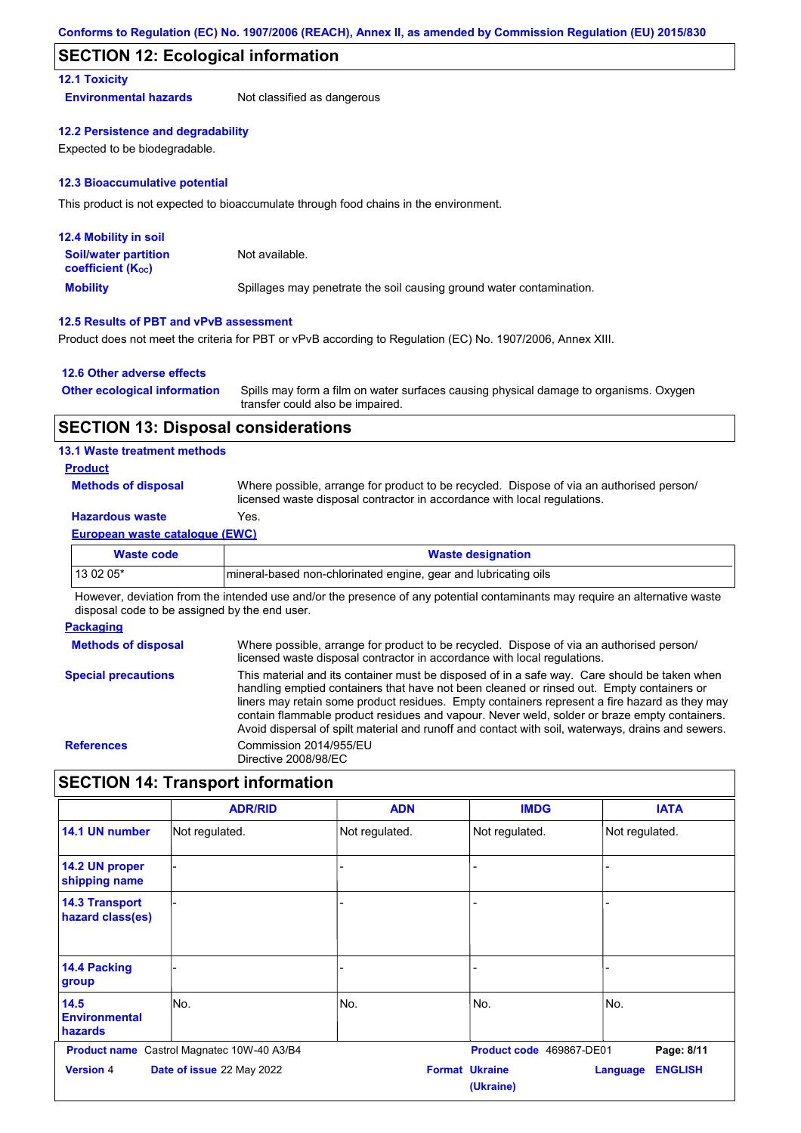### **SECTION 12: Ecological information**

#### **12.1 Toxicity**

**Environmental hazards** Not classified as dangerous

#### **12.2 Persistence and degradability**

Expected to be biodegradable.

#### **12.3 Bioaccumulative potential**

This product is not expected to bioaccumulate through food chains in the environment.

| <b>12.4 Mobility in soil</b>                                  |                                                                      |
|---------------------------------------------------------------|----------------------------------------------------------------------|
| <b>Soil/water partition</b><br>coefficient (K <sub>oc</sub> ) | Not available.                                                       |
| <b>Mobility</b>                                               | Spillages may penetrate the soil causing ground water contamination. |

#### **12.5 Results of PBT and vPvB assessment**

Product does not meet the criteria for PBT or vPvB according to Regulation (EC) No. 1907/2006, Annex XIII.

#### **12.6 Other adverse effects**

| <b>Other ecological information</b> | Spills may form a film on water surfaces causing physical damage to organisms. Oxygen |
|-------------------------------------|---------------------------------------------------------------------------------------|
|                                     | transfer could also be impaired.                                                      |

### **SECTION 13: Disposal considerations**

#### **13.1 Waste treatment methods**

#### **Product**

**Methods of disposal**

Where possible, arrange for product to be recycled. Dispose of via an authorised person/ licensed waste disposal contractor in accordance with local regulations.

### **Hazardous waste** Yes.

#### **European waste catalogue (EWC)**

| Waste code | <b>Waste designation</b>                                         |
|------------|------------------------------------------------------------------|
| 13 02 05*  | Imineral-based non-chlorinated engine, gear and lubricating oils |

However, deviation from the intended use and/or the presence of any potential contaminants may require an alternative waste disposal code to be assigned by the end user.

#### **Packaging**

| <b>Methods of disposal</b> | Where possible, arrange for product to be recycled. Dispose of via an authorised person/<br>licensed waste disposal contractor in accordance with local regulations.                                                                                                                                                                                                                                                                                                                            |
|----------------------------|-------------------------------------------------------------------------------------------------------------------------------------------------------------------------------------------------------------------------------------------------------------------------------------------------------------------------------------------------------------------------------------------------------------------------------------------------------------------------------------------------|
| <b>Special precautions</b> | This material and its container must be disposed of in a safe way. Care should be taken when<br>handling emptied containers that have not been cleaned or rinsed out. Empty containers or<br>liners may retain some product residues. Empty containers represent a fire hazard as they may<br>contain flammable product residues and vapour. Never weld, solder or braze empty containers.<br>Avoid dispersal of spilt material and runoff and contact with soil, waterways, drains and sewers. |
| <b>References</b>          | Commission 2014/955/EU<br>Directive 2008/98/EC                                                                                                                                                                                                                                                                                                                                                                                                                                                  |

# **SECTION 14: Transport information**

|                                           | <b>ADR/RID</b>                | <b>ADN</b>     | <b>IMDG</b>                        | <b>IATA</b>                |
|-------------------------------------------|-------------------------------|----------------|------------------------------------|----------------------------|
| 14.1 UN number                            | Not regulated.                | Not regulated. | Not regulated.                     | Not regulated.             |
| 14.2 UN proper<br>shipping name           |                               |                |                                    |                            |
| <b>14.3 Transport</b><br>hazard class(es) |                               |                |                                    |                            |
| 14.4 Packing<br>group                     |                               |                |                                    |                            |
| 14.5<br><b>Environmental</b><br>hazards   | No.                           | No.            | No.                                | No.                        |
| <b>Product name</b>                       | Castrol Magnatec 10W-40 A3/B4 |                | Product code 469867-DE01           | Page: 8/11                 |
| <b>Version 4</b>                          | Date of issue 22 May 2022     |                | <b>Format Ukraine</b><br>(Ukraine) | <b>ENGLISH</b><br>Language |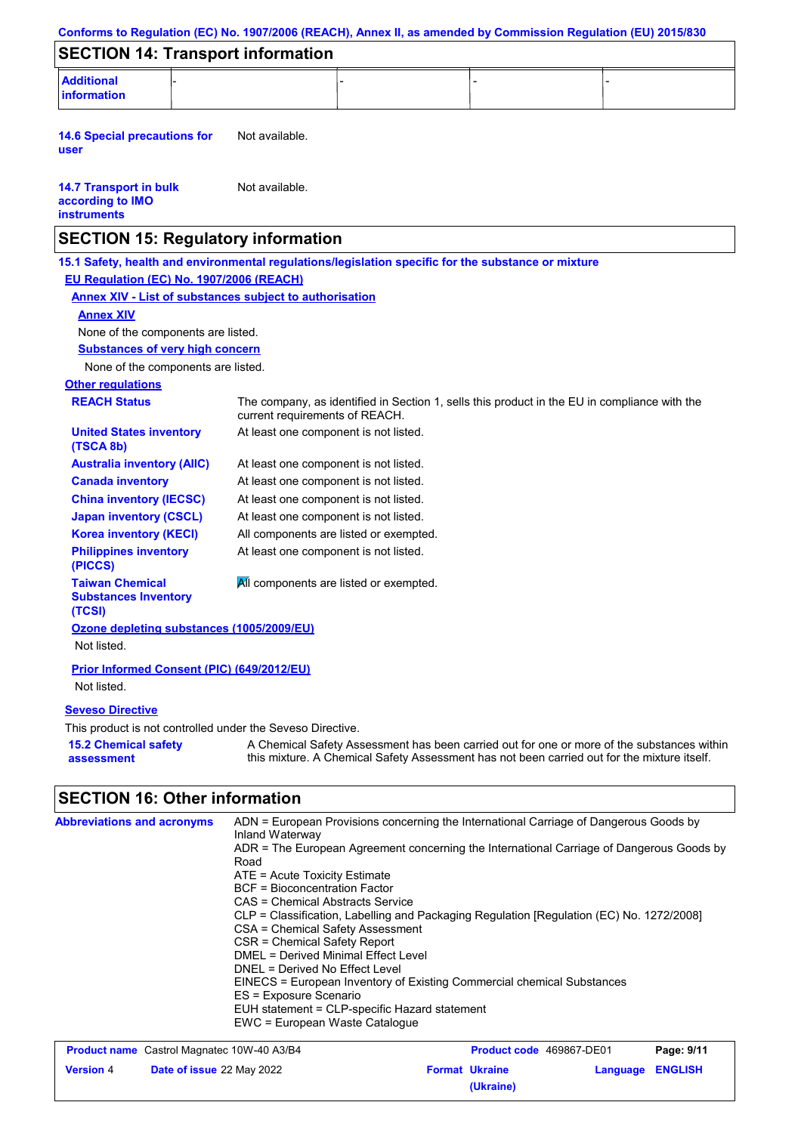|                                                                                                                                                 |                                                                                                                                                                                                                                                                                                                           |                                                                                                                                                                                                                                                             |  | Conforms to Regulation (EC) No. 1907/2006 (REACH), Annex II, as amended by Commission Regulation (EU) 2015/830 |
|-------------------------------------------------------------------------------------------------------------------------------------------------|---------------------------------------------------------------------------------------------------------------------------------------------------------------------------------------------------------------------------------------------------------------------------------------------------------------------------|-------------------------------------------------------------------------------------------------------------------------------------------------------------------------------------------------------------------------------------------------------------|--|----------------------------------------------------------------------------------------------------------------|
| <b>SECTION 14: Transport information</b>                                                                                                        |                                                                                                                                                                                                                                                                                                                           |                                                                                                                                                                                                                                                             |  |                                                                                                                |
| <b>Additional</b><br><b>information</b>                                                                                                         |                                                                                                                                                                                                                                                                                                                           |                                                                                                                                                                                                                                                             |  |                                                                                                                |
| <b>14.6 Special precautions for</b><br>user                                                                                                     | Not available.                                                                                                                                                                                                                                                                                                            |                                                                                                                                                                                                                                                             |  |                                                                                                                |
| <b>14.7 Transport in bulk</b><br>Not available.<br>according to IMO<br><b>instruments</b>                                                       |                                                                                                                                                                                                                                                                                                                           |                                                                                                                                                                                                                                                             |  |                                                                                                                |
| <b>SECTION 15: Regulatory information</b>                                                                                                       |                                                                                                                                                                                                                                                                                                                           |                                                                                                                                                                                                                                                             |  |                                                                                                                |
| 15.1 Safety, health and environmental regulations/legislation specific for the substance or mixture<br>EU Regulation (EC) No. 1907/2006 (REACH) |                                                                                                                                                                                                                                                                                                                           |                                                                                                                                                                                                                                                             |  |                                                                                                                |
| <b>Annex XIV - List of substances subject to authorisation</b>                                                                                  |                                                                                                                                                                                                                                                                                                                           |                                                                                                                                                                                                                                                             |  |                                                                                                                |
| <b>Annex XIV</b>                                                                                                                                |                                                                                                                                                                                                                                                                                                                           |                                                                                                                                                                                                                                                             |  |                                                                                                                |
| None of the components are listed.                                                                                                              |                                                                                                                                                                                                                                                                                                                           |                                                                                                                                                                                                                                                             |  |                                                                                                                |
| <b>Substances of very high concern</b>                                                                                                          |                                                                                                                                                                                                                                                                                                                           |                                                                                                                                                                                                                                                             |  |                                                                                                                |
| None of the components are listed.                                                                                                              |                                                                                                                                                                                                                                                                                                                           |                                                                                                                                                                                                                                                             |  |                                                                                                                |
| <b>Other regulations</b>                                                                                                                        |                                                                                                                                                                                                                                                                                                                           |                                                                                                                                                                                                                                                             |  |                                                                                                                |
| <b>REACH Status</b>                                                                                                                             | current requirements of REACH.                                                                                                                                                                                                                                                                                            | The company, as identified in Section 1, sells this product in the EU in compliance with the                                                                                                                                                                |  |                                                                                                                |
| <b>United States inventory</b><br>(TSCA 8b)                                                                                                     | At least one component is not listed.                                                                                                                                                                                                                                                                                     |                                                                                                                                                                                                                                                             |  |                                                                                                                |
| <b>Australia inventory (AIIC)</b>                                                                                                               | At least one component is not listed.                                                                                                                                                                                                                                                                                     |                                                                                                                                                                                                                                                             |  |                                                                                                                |
| <b>Canada inventory</b>                                                                                                                         | At least one component is not listed.                                                                                                                                                                                                                                                                                     |                                                                                                                                                                                                                                                             |  |                                                                                                                |
| <b>China inventory (IECSC)</b>                                                                                                                  | At least one component is not listed.                                                                                                                                                                                                                                                                                     |                                                                                                                                                                                                                                                             |  |                                                                                                                |
| <b>Japan inventory (CSCL)</b>                                                                                                                   | At least one component is not listed.                                                                                                                                                                                                                                                                                     |                                                                                                                                                                                                                                                             |  |                                                                                                                |
| <b>Korea inventory (KECI)</b>                                                                                                                   | All components are listed or exempted.                                                                                                                                                                                                                                                                                    |                                                                                                                                                                                                                                                             |  |                                                                                                                |
| <b>Philippines inventory</b><br>(PICCS)                                                                                                         | At least one component is not listed.                                                                                                                                                                                                                                                                                     |                                                                                                                                                                                                                                                             |  |                                                                                                                |
| <b>Taiwan Chemical</b><br><b>Substances Inventory</b><br>(TCSI)                                                                                 | All components are listed or exempted.                                                                                                                                                                                                                                                                                    |                                                                                                                                                                                                                                                             |  |                                                                                                                |
| Ozone depleting substances (1005/2009/EU)<br>Not listed.                                                                                        |                                                                                                                                                                                                                                                                                                                           |                                                                                                                                                                                                                                                             |  |                                                                                                                |
| Prior Informed Consent (PIC) (649/2012/EU)<br>Not listed.                                                                                       |                                                                                                                                                                                                                                                                                                                           |                                                                                                                                                                                                                                                             |  |                                                                                                                |
| <b>Seveso Directive</b>                                                                                                                         |                                                                                                                                                                                                                                                                                                                           |                                                                                                                                                                                                                                                             |  |                                                                                                                |
| This product is not controlled under the Seveso Directive.                                                                                      |                                                                                                                                                                                                                                                                                                                           |                                                                                                                                                                                                                                                             |  |                                                                                                                |
| <b>15.2 Chemical safety</b>                                                                                                                     |                                                                                                                                                                                                                                                                                                                           |                                                                                                                                                                                                                                                             |  | A Chemical Safety Assessment has been carried out for one or more of the substances within                     |
| assessment                                                                                                                                      |                                                                                                                                                                                                                                                                                                                           | this mixture. A Chemical Safety Assessment has not been carried out for the mixture itself.                                                                                                                                                                 |  |                                                                                                                |
| <b>SECTION 16: Other information</b>                                                                                                            |                                                                                                                                                                                                                                                                                                                           |                                                                                                                                                                                                                                                             |  |                                                                                                                |
| <b>Abbreviations and acronyms</b>                                                                                                               | Inland Waterway<br>Road<br>ATE = Acute Toxicity Estimate<br><b>BCF</b> = Bioconcentration Factor<br>CAS = Chemical Abstracts Service<br>CSA = Chemical Safety Assessment<br><b>CSR = Chemical Safety Report</b><br><b>DMEL = Derived Minimal Effect Level</b><br>DNEL = Derived No Effect Level<br>ES = Exposure Scenario | ADN = European Provisions concerning the International Carriage of Dangerous Goods by<br>CLP = Classification, Labelling and Packaging Regulation [Regulation (EC) No. 1272/2008]<br>EINECS = European Inventory of Existing Commercial chemical Substances |  | ADR = The European Agreement concerning the International Carriage of Dangerous Goods by                       |

| <b>Product name</b> Castrol Magnatec 10W-40 A3/B4 |                           | <b>Product code</b> 469867-DE01 |                       | Page: 9/11       |  |
|---------------------------------------------------|---------------------------|---------------------------------|-----------------------|------------------|--|
| <b>Version 4</b>                                  | Date of issue 22 May 2022 |                                 | <b>Format Ukraine</b> | Language ENGLISH |  |
|                                                   |                           |                                 | (Ukraine)             |                  |  |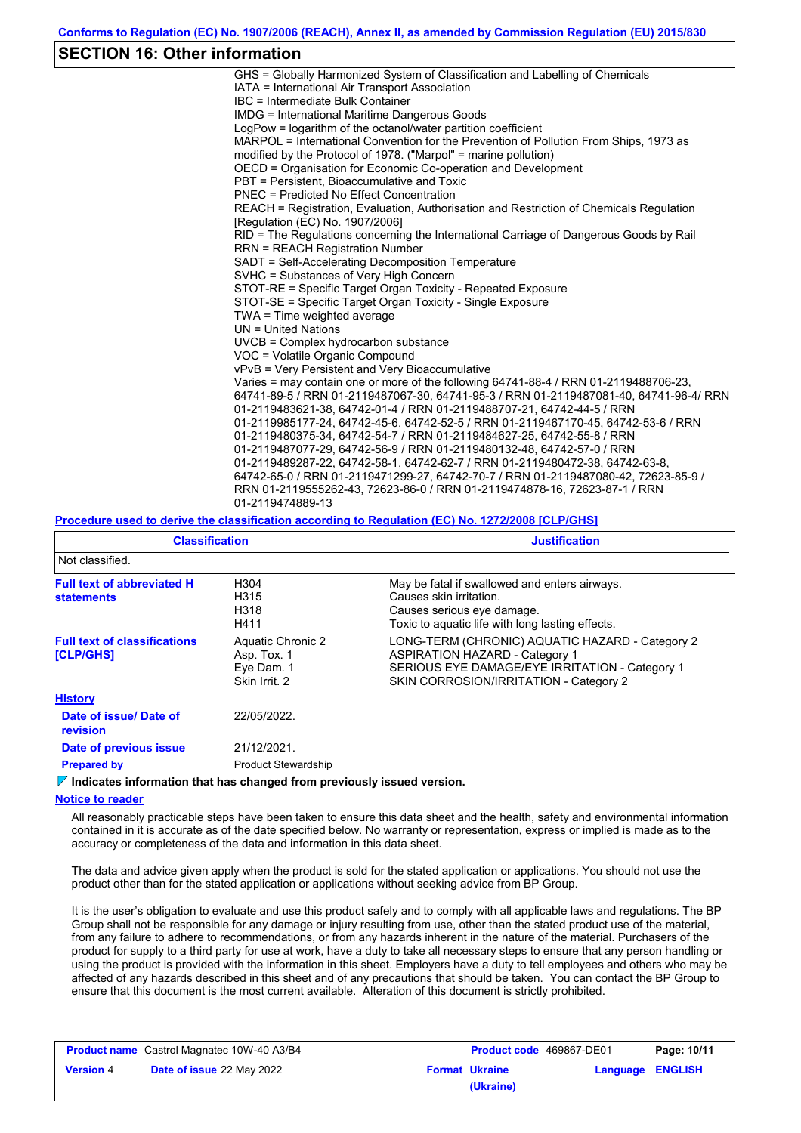# **SECTION 16: Other information**

| GHS = Globally Harmonized System of Classification and Labelling of Chemicals           |
|-----------------------------------------------------------------------------------------|
| IATA = International Air Transport Association                                          |
| IBC = Intermediate Bulk Container                                                       |
| <b>IMDG</b> = International Maritime Dangerous Goods                                    |
| LogPow = logarithm of the octanol/water partition coefficient                           |
| MARPOL = International Convention for the Prevention of Pollution From Ships, 1973 as   |
| modified by the Protocol of 1978. ("Marpol" = marine pollution)                         |
| OECD = Organisation for Economic Co-operation and Development                           |
| PBT = Persistent, Bioaccumulative and Toxic                                             |
| PNFC = Predicted No Fffect Concentration                                                |
| REACH = Registration, Evaluation, Authorisation and Restriction of Chemicals Regulation |
| [Regulation (EC) No. 1907/2006]                                                         |
| RID = The Regulations concerning the International Carriage of Dangerous Goods by Rail  |
| <b>RRN = REACH Registration Number</b>                                                  |
| SADT = Self-Accelerating Decomposition Temperature                                      |
| SVHC = Substances of Very High Concern                                                  |
| STOT-RE = Specific Target Organ Toxicity - Repeated Exposure                            |
| STOT-SE = Specific Target Organ Toxicity - Single Exposure                              |
| TWA = Time weighted average                                                             |
| $UN = United Nations$                                                                   |
| UVCB = Complex hydrocarbon substance                                                    |
| VOC = Volatile Organic Compound                                                         |
| vPvB = Very Persistent and Very Bioaccumulative                                         |
| Varies = may contain one or more of the following 64741-88-4 / RRN 01-2119488706-23,    |
| 64741-89-5 / RRN 01-2119487067-30, 64741-95-3 / RRN 01-2119487081-40, 64741-96-4/ RRN   |
| 01-2119483621-38, 64742-01-4 / RRN 01-2119488707-21, 64742-44-5 / RRN                   |
| 01-2119985177-24, 64742-45-6, 64742-52-5 / RRN 01-2119467170-45, 64742-53-6 / RRN       |
| 01-2119480375-34, 64742-54-7 / RRN 01-2119484627-25, 64742-55-8 / RRN                   |
| 01-2119487077-29, 64742-56-9 / RRN 01-2119480132-48, 64742-57-0 / RRN                   |
| 01-2119489287-22, 64742-58-1, 64742-62-7 / RRN 01-2119480472-38, 64742-63-8,            |
| 64742-65-0 / RRN 01-2119471299-27, 64742-70-7 / RRN 01-2119487080-42, 72623-85-9 /      |
| RRN 01-2119555262-43, 72623-86-0 / RRN 01-2119474878-16, 72623-87-1 / RRN               |
| 01-2119474889-13                                                                        |
|                                                                                         |

#### **Procedure used to derive the classification according to Regulation (EC) No. 1272/2008 [CLP/GHS]**

| <b>Classification</b>                                   |                                                                 | <b>Justification</b>                                                                                                                                                                 |  |
|---------------------------------------------------------|-----------------------------------------------------------------|--------------------------------------------------------------------------------------------------------------------------------------------------------------------------------------|--|
| Not classified.                                         |                                                                 |                                                                                                                                                                                      |  |
| <b>Full text of abbreviated H</b><br><b>statements</b>  | H304<br>H315<br>H318<br>H411                                    | May be fatal if swallowed and enters airways.<br>Causes skin irritation.<br>Causes serious eye damage.<br>Toxic to aquatic life with long lasting effects.                           |  |
| <b>Full text of classifications</b><br><b>[CLP/GHS]</b> | Aquatic Chronic 2<br>Asp. Tox. 1<br>Eye Dam. 1<br>Skin Irrit. 2 | LONG-TERM (CHRONIC) AQUATIC HAZARD - Category 2<br><b>ASPIRATION HAZARD - Category 1</b><br>SERIOUS EYE DAMAGE/EYE IRRITATION - Category 1<br>SKIN CORROSION/IRRITATION - Category 2 |  |
| <b>History</b>                                          |                                                                 |                                                                                                                                                                                      |  |
| Date of issue/ Date of<br>revision                      | 22/05/2022.                                                     |                                                                                                                                                                                      |  |
| Date of previous issue                                  | 21/12/2021.                                                     |                                                                                                                                                                                      |  |
| <b>Prepared by</b>                                      | <b>Product Stewardship</b>                                      |                                                                                                                                                                                      |  |

#### **Indicates information that has changed from previously issued version.**

#### **Notice to reader**

All reasonably practicable steps have been taken to ensure this data sheet and the health, safety and environmental information contained in it is accurate as of the date specified below. No warranty or representation, express or implied is made as to the accuracy or completeness of the data and information in this data sheet.

The data and advice given apply when the product is sold for the stated application or applications. You should not use the product other than for the stated application or applications without seeking advice from BP Group.

It is the user's obligation to evaluate and use this product safely and to comply with all applicable laws and regulations. The BP Group shall not be responsible for any damage or injury resulting from use, other than the stated product use of the material, from any failure to adhere to recommendations, or from any hazards inherent in the nature of the material. Purchasers of the product for supply to a third party for use at work, have a duty to take all necessary steps to ensure that any person handling or using the product is provided with the information in this sheet. Employers have a duty to tell employees and others who may be affected of any hazards described in this sheet and of any precautions that should be taken. You can contact the BP Group to ensure that this document is the most current available. Alteration of this document is strictly prohibited.

| <b>Product name</b> Castrol Magnatec 10W-40 A3/B4 |                                  | <b>Product code</b> 469867-DE01 |                       | Page: 10/11             |  |
|---------------------------------------------------|----------------------------------|---------------------------------|-----------------------|-------------------------|--|
| <b>Version 4</b>                                  | <b>Date of issue 22 May 2022</b> |                                 | <b>Format Ukraine</b> | <b>Language ENGLISH</b> |  |
|                                                   |                                  |                                 | (Ukraine)             |                         |  |